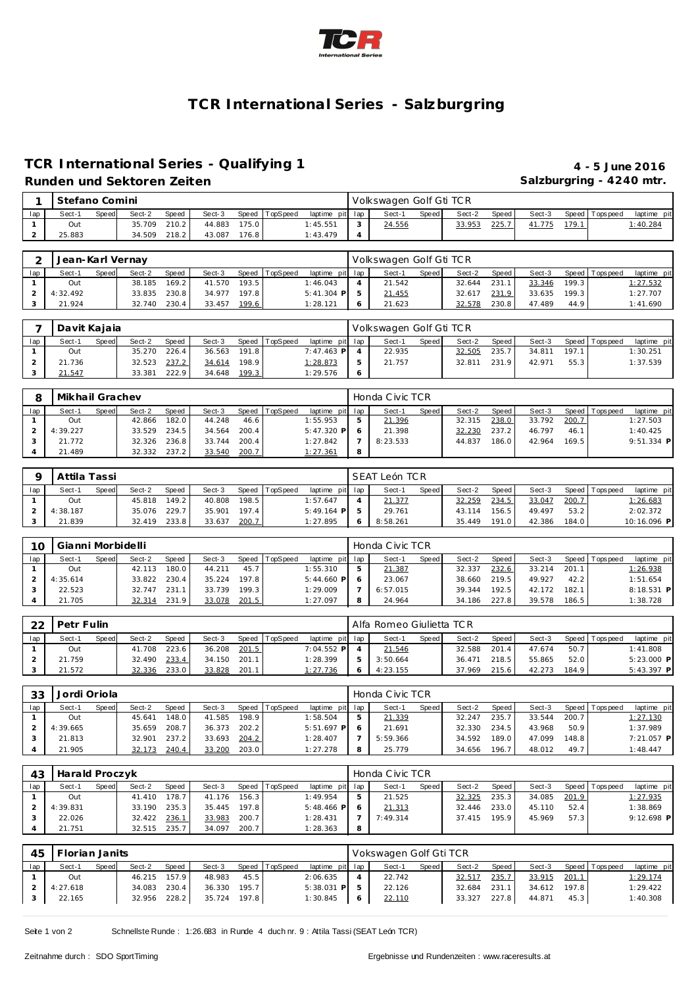

# **TCR International Series - Salzburgring**

### **TCR International Series - Qualifying 1 4 - 5 June 2016 Runden und Sektoren Zeiten Salzburgring - 4240 mtr.**

|     | Stefano Comini |              |        |       |        |        |                |                 | Volkswagen Golf Gti TCR |         |        |       |        |       |          |             |
|-----|----------------|--------------|--------|-------|--------|--------|----------------|-----------------|-------------------------|---------|--------|-------|--------|-------|----------|-------------|
| lap | Sect-1         | <b>Speed</b> | Sect-2 | Speed | Sect-3 |        | Speed TopSpeed | laptime pit lap | Sect-1                  | Speed I | Sect-2 | Speed | Sect-3 | Speed | Topspeed | laptime pit |
|     | Out            |              | 35.709 | 210.2 | 44.883 | 175.01 |                | 1:45.551        | 24.556                  |         | 33.953 | 225.7 | 41.775 | 179.1 |          | :40.284     |
|     | 25.883         |              | 34.509 | 218.2 | 43.087 | 176.8  |                | 1:43.479        |                         |         |        |       |        |       |          |             |

|     | Jean-Karl Vernay |              |        |              |        |         |                |                 | Volkswagen Golf Gti TCR |       |        |       |        |       |                   |             |
|-----|------------------|--------------|--------|--------------|--------|---------|----------------|-----------------|-------------------------|-------|--------|-------|--------|-------|-------------------|-------------|
| lap | Sect-1           | <b>Speed</b> | Sect-2 | Speed        | Sect-3 |         | Speed TopSpeed | laptime pit lap | Sect-1                  | Speed | Sect-2 | Speed | Sect-3 |       | Speed   Tops peed | laptime pit |
|     | Out              |              | 38.185 | 169.2        | 41.570 | 193.5   |                | 1:46.043        | 21.542                  |       | 32.644 | 231   | 33.346 | 199.3 |                   | 1: 27.532   |
|     | 4:32.492         |              |        | 33.835 230.8 | 34.977 | 197.8 l |                | $5:41.304$ P    | 21.455                  |       | 32.617 | 231.9 | 33.635 | 199.3 |                   | 1:27.707    |
|     | 21.924           |              | 32.740 | 230.4        | 33.457 | 199.6   |                | 1:28.121        | 21.623                  |       | 32.578 | 230.8 | 47.489 | 44.9  |                   | 1:41.690    |

|     | Davit Kajaja |       |        |              |        |       |                |                 | Volkswagen Golf Gti TCR |       |        |       |        |       |                |             |
|-----|--------------|-------|--------|--------------|--------|-------|----------------|-----------------|-------------------------|-------|--------|-------|--------|-------|----------------|-------------|
| lap | Sect-1       | Speed | Sect-2 | <b>Speed</b> | Sect-3 |       | Speed TopSpeed | laptime pit lap | Sect-1                  | Speed | Sect-2 | Speed | Sect-3 |       | Speed Topspeed | laptime pit |
|     | Out          |       | 35.270 | 226.4        | 36.563 | 191.8 |                | 7:47.463 P      | 22.935                  |       | 32.505 | 235.7 | 34.811 | 197.1 |                | 1:30.251    |
|     | 21.736       |       | 32.523 | 237.2        | 34.614 | 198.9 |                | <u>1:28.873</u> | 21.757                  |       | 32.811 | 231.9 | 42.971 | 55.3  |                | 1:37.539    |
|     | 21.547       |       | 33.381 | 222.9        | 34.648 | 199.3 |                | 1:29.576        |                         |       |        |       |        |       |                |             |

|     | Mikhail Grachev |              |        |              |        |       |          |                 |   | Honda Civic TCR |       |        |       |        |       |                |              |  |
|-----|-----------------|--------------|--------|--------------|--------|-------|----------|-----------------|---|-----------------|-------|--------|-------|--------|-------|----------------|--------------|--|
| lap | Sect-1          | <b>Speed</b> | Sect-2 | <b>Speed</b> | Sect-3 | Speed | TopSpeed | laptime pit lap |   | Sect-1          | Speed | Sect-2 | Speed | Sect-3 |       | Speed Topspeed | laptime pit  |  |
|     | Out             |              | 42.866 | 182.0        | 44.248 | 46.6  |          | : 55.953        |   | 21.396          |       | 32.315 | 238.0 | 33.792 | 200.7 |                | 1:27.503     |  |
|     | 4:39.227        |              | 33.529 | 234.5        | 34.564 | 200.4 |          | $5:47.320$ P    |   | 21.398          |       | 32.230 | 237.2 | 46.797 | 46.1  |                | 1:40.425     |  |
|     | 21.772          |              | 32.326 | 236.8        | 33.744 | 200.4 |          | 1:27.842        |   | 8:23.533        |       | 44.837 | 186.0 | 42.964 | 169.5 |                | $9:51.334$ P |  |
|     | 21.489          |              | 32.332 | 237.2        | 33.540 | 200.7 |          | <u>1:27.361</u> | 8 |                 |       |        |       |        |       |                |              |  |

|     | Attila Tassi |       |        |       |        |       |                |                 |   | SEAT León TCR |       |        |        |        |       |                 |             |
|-----|--------------|-------|--------|-------|--------|-------|----------------|-----------------|---|---------------|-------|--------|--------|--------|-------|-----------------|-------------|
| lap | Sect-1       | Speed | Sect-2 | Speed | Sect-3 |       | Speed TopSpeed | laptime pit lap |   | Sect-1        | Speed | Sect-2 | Speed. | Sect-3 |       | Speed Tops peed | laptime pit |
|     | Out          |       | 45.818 | 149.2 | 40.808 | 198.5 |                | 1:57.647        |   | 21.377        |       | 32.259 | 234.5  | 33.047 | 200.7 |                 | 1:26.683    |
|     | 4:38.187     |       | 35.076 | 229.7 | 35.901 | 197.4 |                | $5:49.164$ P    |   | 29.761        |       | 43.114 | 156.5  | 49.497 | 53.2  |                 | 2:02.372    |
|     | 21.839       |       | 32.419 | 233.8 | 33.637 | 200.7 |                | 1:27.895        | ō | 8:58.261      |       | 35.449 | 191.0  | 42.386 | 184.0 |                 | 10:16.096 P |

| 10  | Gianni Morbidelli |              |        |       |        |       |                |                 | Honda Civic TCR |       |        |       |        |       |                |              |
|-----|-------------------|--------------|--------|-------|--------|-------|----------------|-----------------|-----------------|-------|--------|-------|--------|-------|----------------|--------------|
| lap | Sect-1            | <b>Speed</b> | Sect-2 | Speed | Sect-3 |       | Speed TopSpeed | laptime pit lap | Sect-1          | Speed | Sect-2 | Speed | Sect-3 |       | Speed Topspeed | laptime pit  |
|     | Out               |              | 42.113 | 180.0 | 44.211 | 45.7  |                | 1:55.310        | 21.387          |       | 32.337 | 232.6 | 33.214 | 201.1 |                | 1:26.938     |
|     | 4:35.614          |              | 33.822 | 230.4 | 35.224 | 197.8 |                | $5:44.660$ P    | 23.067          |       | 38.660 | 219.5 | 49.927 | 42.2  |                | 1:51.654     |
|     | 22.523            |              | 32.747 | 231.1 | 33.739 | 199.3 |                | 1:29.009        | 6:57.015        |       | 39.344 | 192.5 | 42.172 | 182.1 |                | $8:18.531$ P |
|     | 21.705            |              | 32.314 | 231.9 | 33.078 | 201.5 |                | 1:27.097        | 24.964          |       | 34.186 | 227.8 | 39.578 | 186.5 |                | 1:38.728     |

| ററ  | Petr Fulin |       |        |              |        |       |          |                 | Alfa Romeo Giulietta TCR |              |        |       |        |       |                |              |
|-----|------------|-------|--------|--------------|--------|-------|----------|-----------------|--------------------------|--------------|--------|-------|--------|-------|----------------|--------------|
| lap | Sect-1     | Speed | Sect-2 | <b>Speed</b> | Sect-3 | Speed | TopSpeed | laptime pit lap | Sect-1                   | <b>Speed</b> | Sect-2 | Speed | Sect-3 |       | Speed Topspeed | laptime pit  |
|     | Out        |       | 41.708 | 223.6        | 36.208 | 201.5 |          | 7:04.552 P      | 21.546                   |              | 32.588 | 201   | 47.674 | 50.7  |                | 1:41.808     |
|     | 21.759     |       | 32.490 | 233.4        | 34.150 | 201.1 |          | 1:28.399        | 3:50.664                 |              | 36.471 | 218.5 | 55.865 | 52.0  |                | $5:23.000$ P |
|     | 21.572     |       | 32.336 | 233.0        | 33.828 | 201.1 |          | 1:27.736        | 4:23.155                 |              | 37.969 | 215.6 | 42.273 | 184.9 |                | $5:43.397$ P |

| 33  | Jordi Oriola |              |        |       |        |       |          |                 | Honda Civic TCR |       |        |       |        |       |                 |             |
|-----|--------------|--------------|--------|-------|--------|-------|----------|-----------------|-----------------|-------|--------|-------|--------|-------|-----------------|-------------|
| lap | Sect-1       | <b>Speed</b> | Sect-2 | Speed | Sect-3 | Speed | TopSpeed | laptime pit lap | Sect-1          | Speed | Sect-2 | Speed | Sect-3 |       | Speed Tops peed | laptime pit |
|     | Out          |              | 45.641 | 148.0 | 41.585 | 198.9 |          | 1:58.504        | 21.339          |       | 32.247 | 235.7 | 33.544 | 200.7 |                 | 1:27.130    |
|     | 4:39.665     |              | 35.659 | 208.7 | 36.373 | 202.2 |          | $5:51.697$ P    | 21.691          |       | 32.330 | 234.5 | 43.968 | 50.9  |                 | 1:37.989    |
|     | 21.813       |              | 32.901 | 237.2 | 33.693 | 204.2 |          | 1:28.407        | 5:59.366        |       | 34.592 | 189.0 | 47.099 | 148.8 |                 | 7:21.057 P  |
|     | 21.905       |              | 32.173 | 240.4 | 33.200 | 203.0 |          | 1:27.278        | 25.779          |       | 34.656 | 196.7 | 48.012 | 49.7  |                 | 1:48.447    |

| 43  | Harald Proczyk |       |        |       |        |         |                |                 | Honda Civic TCR |       |        |       |        |       |                 |              |
|-----|----------------|-------|--------|-------|--------|---------|----------------|-----------------|-----------------|-------|--------|-------|--------|-------|-----------------|--------------|
| lap | Sect-1         | Speed | Sect-2 | Speed | Sect-3 |         | Speed TopSpeed | laptime pit lap | Sect-1          | Speed | Sect-2 | Speed | Sect-3 |       | Speed Tops peed | laptime pit  |
|     | Out            |       | 41.410 | 178.7 | 41.176 | 156.3   |                | 1:49.954        | 21.525          |       | 32.325 | 235.3 | 34.085 | 201.9 |                 | 1:27.935     |
|     | 4:39.831       |       | 33.190 | 235.3 | 35.445 | 197.8 l |                | $5:48.466$ P    | 21.313          |       | 32.446 | 233.0 | 45.110 | 52.4  |                 | 1:38.869     |
|     | 22.026         |       | 32.422 | 236.1 | 33.983 | 200.7   |                | 1:28.431        | 7:49.314        |       | 37.415 | 195.9 | 45.969 | 57.3  |                 | $9:12.698$ P |
|     | 21.751         |       | 32.515 | 235.7 | 34.097 | 200.7   |                | 1:28.363        |                 |       |        |       |        |       |                 |              |

| 45  | Florian Janits |              |              |       |        |         |                |                 | Vokswagen Golf Gti TCR |       |        |       |        |       |                |             |
|-----|----------------|--------------|--------------|-------|--------|---------|----------------|-----------------|------------------------|-------|--------|-------|--------|-------|----------------|-------------|
| lap | Sect-1         | <b>Speed</b> | Sect-2       | Speed | Sect-3 |         | Speed TopSpeed | laptime pit lap | Sect-1                 | Speed | Sect-2 | Speed | Sect-3 |       | Speed Topspeed | laptime pit |
|     | Out            |              | 46.215 157.9 |       | 48.983 | 45.5    |                | 2:06.635        | 22.742                 |       | 32.517 | 235.7 | 33.915 | 201.1 |                | 1:29.174    |
|     | 4:27.618       |              | 34.083 230.4 |       | 36.330 | 195.7   |                | $5:38.031$ P    | 22.126                 |       | 32.684 | 231.1 | 34.612 | 197.8 |                | 1:29.422    |
|     | 22.165         |              | 32.956 228.2 |       | 35.724 | 197.8 L |                | 1:30.845        | 22.110                 |       | 33.327 | 227.8 | 44.871 | 45.3  |                | 1:40.308    |

Seite 1 von 2 Schnellste Runde : 1:26.683 in Runde 4 duch nr. 9 : Attila Tassi (SEAT León TCR)